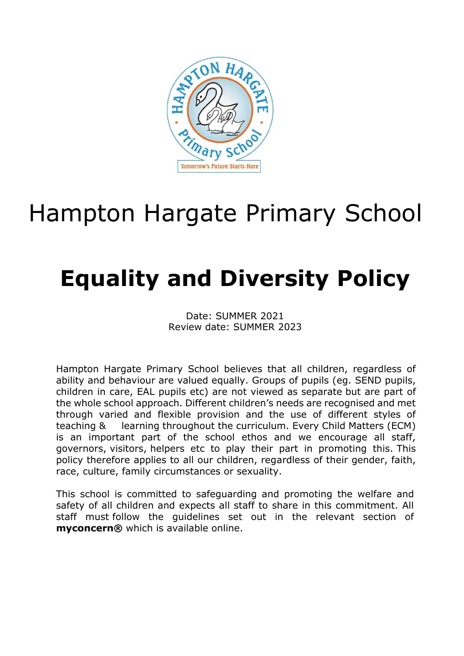

# Hampton Hargate Primary School

# **Equality and Diversity Policy**

Date: SUMMER 2021 Review date: SUMMER 2023

Hampton Hargate Primary School believes that all children, regardless of ability and behaviour are valued equally. Groups of pupils (eg. SEND pupils, children in care, EAL pupils etc) are not viewed as separate but are part of the whole school approach. Different children's needs are recognised and met through varied and flexible provision and the use of different styles of teaching & learning throughout the curriculum. Every Child Matters (ECM) is an important part of the school ethos and we encourage all staff, governors, visitors, helpers etc to play their part in promoting this. This policy therefore applies to all our children, regardless of their gender, faith, race, culture, family circumstances or sexuality.

This school is committed to safeguarding and promoting the welfare and safety of all children and expects all staff to share in this commitment. All staff must follow the guidelines set out in the relevant section of **myconcern®** which is available online.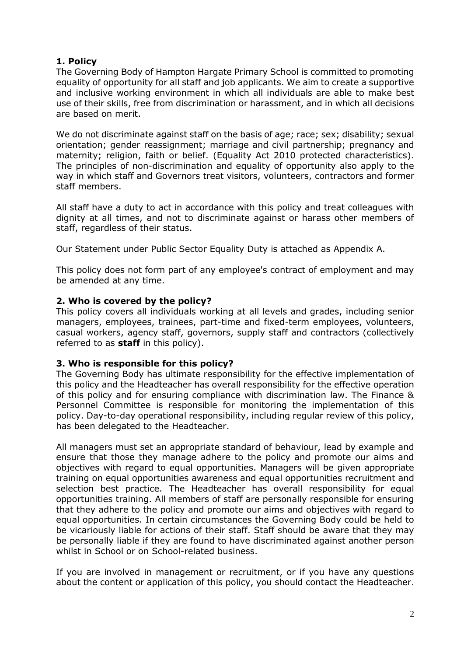# **1. Policy**

The Governing Body of Hampton Hargate Primary School is committed to promoting equality of opportunity for all staff and job applicants. We aim to create a supportive and inclusive working environment in which all individuals are able to make best use of their skills, free from discrimination or harassment, and in which all decisions are based on merit.

We do not discriminate against staff on the basis of age; race; sex; disability; sexual orientation; gender reassignment; marriage and civil partnership; pregnancy and maternity; religion, faith or belief. (Equality Act 2010 protected characteristics). The principles of non-discrimination and equality of opportunity also apply to the way in which staff and Governors treat visitors, volunteers, contractors and former staff members.

All staff have a duty to act in accordance with this policy and treat colleagues with dignity at all times, and not to discriminate against or harass other members of staff, regardless of their status.

Our Statement under Public Sector Equality Duty is attached as Appendix A.

This policy does not form part of any employee's contract of employment and may be amended at any time.

## **2. Who is covered by the policy?**

This policy covers all individuals working at all levels and grades, including senior managers, employees, trainees, part-time and fixed-term employees, volunteers, casual workers, agency staff, governors, supply staff and contractors (collectively referred to as **staff** in this policy).

### **3. Who is responsible for this policy?**

The Governing Body has ultimate responsibility for the effective implementation of this policy and the Headteacher has overall responsibility for the effective operation of this policy and for ensuring compliance with discrimination law. The Finance & Personnel Committee is responsible for monitoring the implementation of this policy. Day-to-day operational responsibility, including regular review of this policy, has been delegated to the Headteacher.

All managers must set an appropriate standard of behaviour, lead by example and ensure that those they manage adhere to the policy and promote our aims and objectives with regard to equal opportunities. Managers will be given appropriate training on equal opportunities awareness and equal opportunities recruitment and selection best practice. The Headteacher has overall responsibility for equal opportunities training. All members of staff are personally responsible for ensuring that they adhere to the policy and promote our aims and objectives with regard to equal opportunities. In certain circumstances the Governing Body could be held to be vicariously liable for actions of their staff. Staff should be aware that they may be personally liable if they are found to have discriminated against another person whilst in School or on School-related business.

If you are involved in management or recruitment, or if you have any questions about the content or application of this policy, you should contact the Headteacher.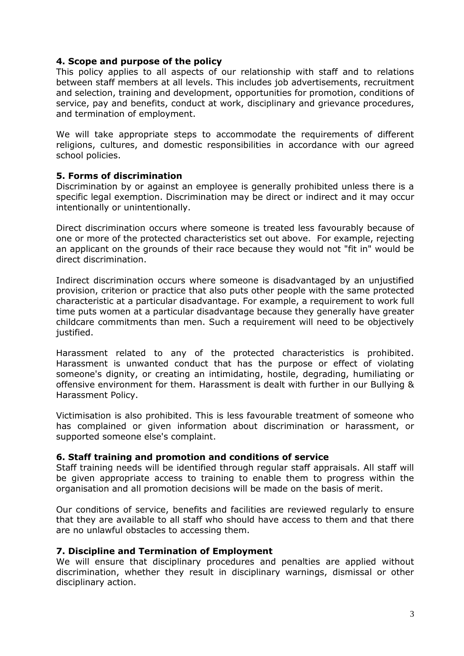### **4. Scope and purpose of the policy**

This policy applies to all aspects of our relationship with staff and to relations between staff members at all levels. This includes job advertisements, recruitment and selection, training and development, opportunities for promotion, conditions of service, pay and benefits, conduct at work, disciplinary and grievance procedures, and termination of employment.

We will take appropriate steps to accommodate the requirements of different religions, cultures, and domestic responsibilities in accordance with our agreed school policies.

#### **5. Forms of discrimination**

Discrimination by or against an employee is generally prohibited unless there is a specific legal exemption. Discrimination may be direct or indirect and it may occur intentionally or unintentionally.

Direct discrimination occurs where someone is treated less favourably because of one or more of the protected characteristics set out above. For example, rejecting an applicant on the grounds of their race because they would not "fit in" would be direct discrimination.

Indirect discrimination occurs where someone is disadvantaged by an unjustified provision, criterion or practice that also puts other people with the same protected characteristic at a particular disadvantage. For example, a requirement to work full time puts women at a particular disadvantage because they generally have greater childcare commitments than men. Such a requirement will need to be objectively justified.

Harassment related to any of the protected characteristics is prohibited. Harassment is unwanted conduct that has the purpose or effect of violating someone's dignity, or creating an intimidating, hostile, degrading, humiliating or offensive environment for them. Harassment is dealt with further in our Bullying & Harassment Policy.

Victimisation is also prohibited. This is less favourable treatment of someone who has complained or given information about discrimination or harassment, or supported someone else's complaint.

#### **6. Staff training and promotion and conditions of service**

Staff training needs will be identified through regular staff appraisals. All staff will be given appropriate access to training to enable them to progress within the organisation and all promotion decisions will be made on the basis of merit.

Our conditions of service, benefits and facilities are reviewed regularly to ensure that they are available to all staff who should have access to them and that there are no unlawful obstacles to accessing them.

#### **7. Discipline and Termination of Employment**

We will ensure that disciplinary procedures and penalties are applied without discrimination, whether they result in disciplinary warnings, dismissal or other disciplinary action.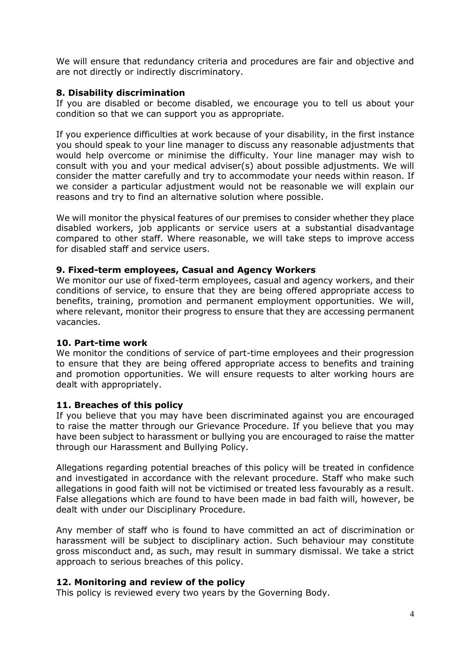We will ensure that redundancy criteria and procedures are fair and objective and are not directly or indirectly discriminatory.

## **8. Disability discrimination**

If you are disabled or become disabled, we encourage you to tell us about your condition so that we can support you as appropriate.

If you experience difficulties at work because of your disability, in the first instance you should speak to your line manager to discuss any reasonable adjustments that would help overcome or minimise the difficulty. Your line manager may wish to consult with you and your medical adviser(s) about possible adjustments. We will consider the matter carefully and try to accommodate your needs within reason. If we consider a particular adjustment would not be reasonable we will explain our reasons and try to find an alternative solution where possible.

We will monitor the physical features of our premises to consider whether they place disabled workers, job applicants or service users at a substantial disadvantage compared to other staff. Where reasonable, we will take steps to improve access for disabled staff and service users.

### **9. Fixed-term employees, Casual and Agency Workers**

We monitor our use of fixed-term employees, casual and agency workers, and their conditions of service, to ensure that they are being offered appropriate access to benefits, training, promotion and permanent employment opportunities. We will, where relevant, monitor their progress to ensure that they are accessing permanent vacancies.

### **10. Part-time work**

We monitor the conditions of service of part-time employees and their progression to ensure that they are being offered appropriate access to benefits and training and promotion opportunities. We will ensure requests to alter working hours are dealt with appropriately.

### **11. Breaches of this policy**

If you believe that you may have been discriminated against you are encouraged to raise the matter through our Grievance Procedure. If you believe that you may have been subject to harassment or bullying you are encouraged to raise the matter through our Harassment and Bullying Policy.

Allegations regarding potential breaches of this policy will be treated in confidence and investigated in accordance with the relevant procedure. Staff who make such allegations in good faith will not be victimised or treated less favourably as a result. False allegations which are found to have been made in bad faith will, however, be dealt with under our Disciplinary Procedure.

Any member of staff who is found to have committed an act of discrimination or harassment will be subject to disciplinary action. Such behaviour may constitute gross misconduct and, as such, may result in summary dismissal. We take a strict approach to serious breaches of this policy.

### **12. Monitoring and review of the policy**

This policy is reviewed every two years by the Governing Body.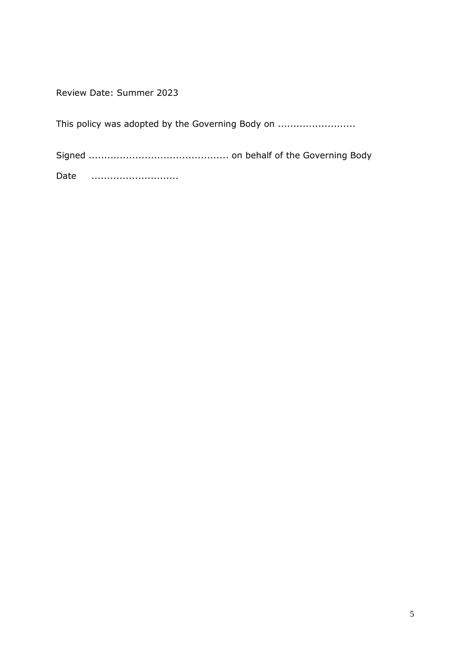Review Date: Summer 2023

This policy was adopted by the Governing Body on ...............................

Signed ............................................. on behalf of the Governing Body Date ............................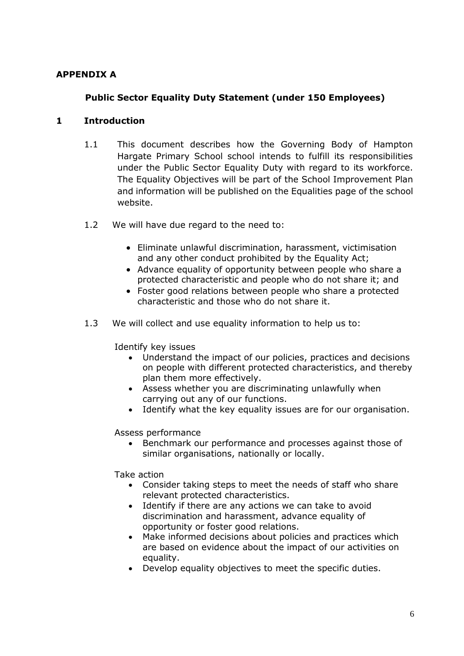## **APPENDIX A**

# **Public Sector Equality Duty Statement (under 150 Employees)**

### **1 Introduction**

- 1.1 This document describes how the Governing Body of Hampton Hargate Primary School school intends to fulfill its responsibilities under the Public Sector Equality Duty with regard to its workforce. The Equality Objectives will be part of the School Improvement Plan and information will be published on the Equalities page of the school website.
- 1.2 We will have due regard to the need to:
	- Eliminate unlawful discrimination, harassment, victimisation and any other conduct prohibited by the Equality Act;
	- Advance equality of opportunity between people who share a protected characteristic and people who do not share it; and
	- Foster good relations between people who share a protected characteristic and those who do not share it.
- 1.3 We will collect and use equality information to help us to:

Identify key issues

- Understand the impact of our policies, practices and decisions on people with different protected characteristics, and thereby plan them more effectively.
- Assess whether you are discriminating unlawfully when carrying out any of our functions.
- Identify what the key equality issues are for our organisation.

Assess performance

• Benchmark our performance and processes against those of similar organisations, nationally or locally.

Take action

- Consider taking steps to meet the needs of staff who share relevant protected characteristics.
- Identify if there are any actions we can take to avoid discrimination and harassment, advance equality of opportunity or foster good relations.
- Make informed decisions about policies and practices which are based on evidence about the impact of our activities on equality.
- Develop equality objectives to meet the specific duties.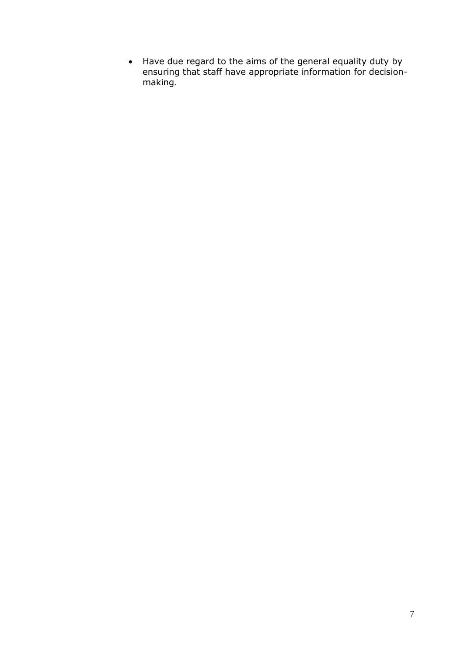• Have due regard to the aims of the general equality duty by ensuring that staff have appropriate information for decisionmaking.